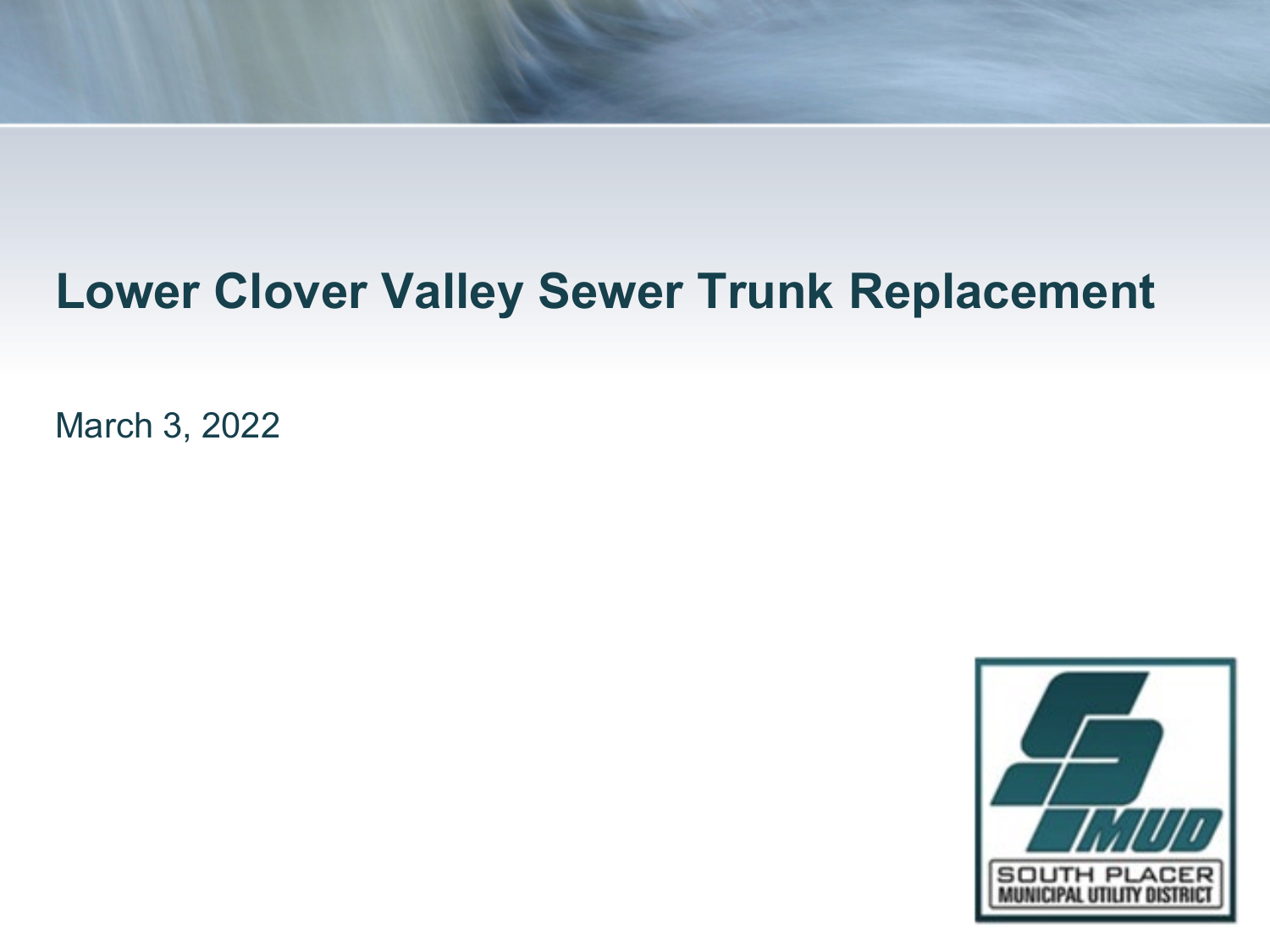March 3, 2022

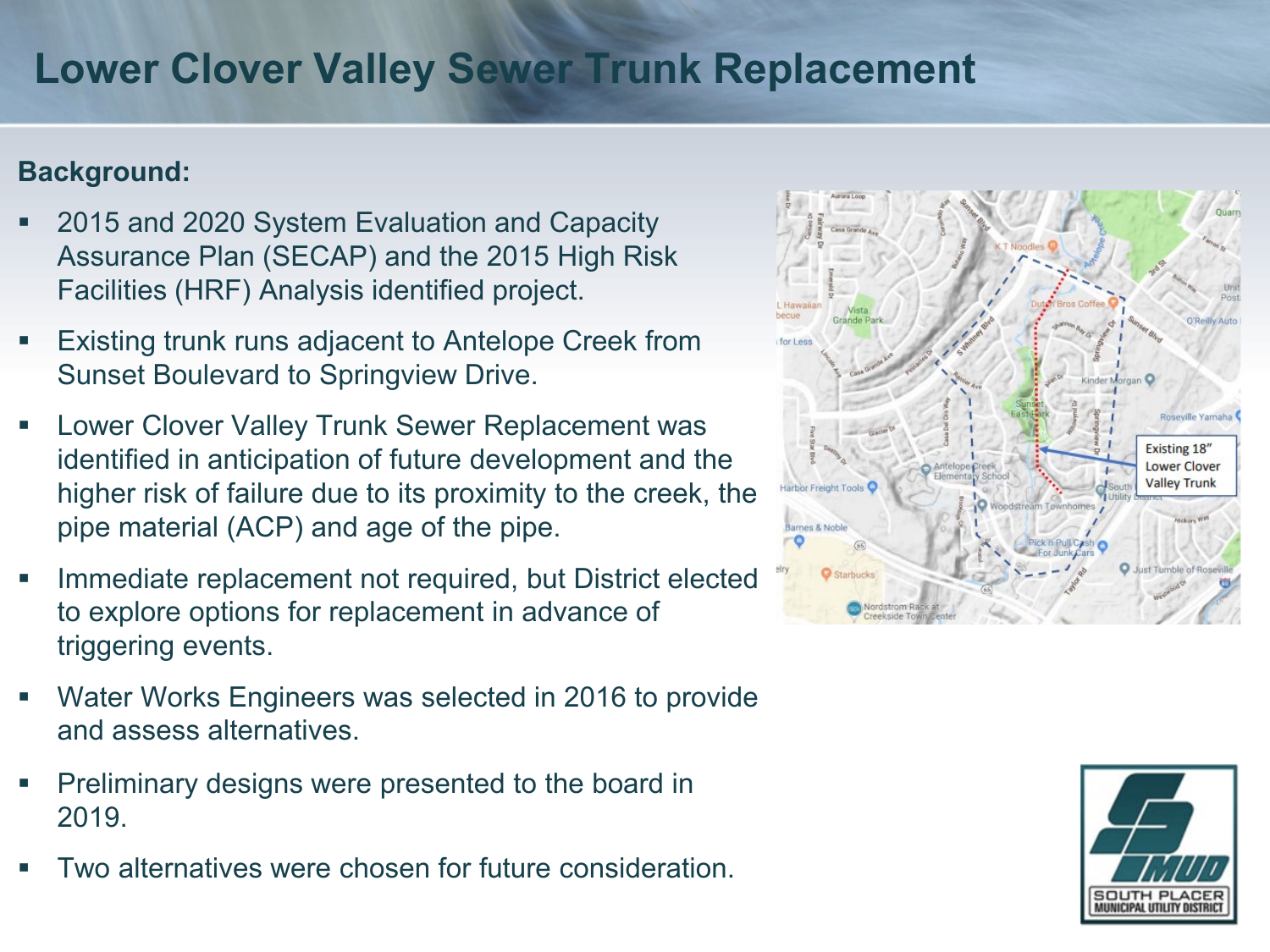### **Background:**

- 2015 and 2020 System Evaluation and Capacity Assurance Plan (SECAP) and the 2015 High Risk Facilities (HRF) Analysis identified project.
- Existing trunk runs adjacent to Antelope Creek from Sunset Boulevard to Springview Drive.
- Lower Clover Valley Trunk Sewer Replacement was identified in anticipation of future development and the higher risk of failure due to its proximity to the creek, the pipe material (ACP) and age of the pipe.
- Immediate replacement not required, but District elected to explore options for replacement in advance of triggering events.
- Water Works Engineers was selected in 2016 to provide and assess alternatives.
- Preliminary designs were presented to the board in 2019.
- Two alternatives were chosen for future consideration.



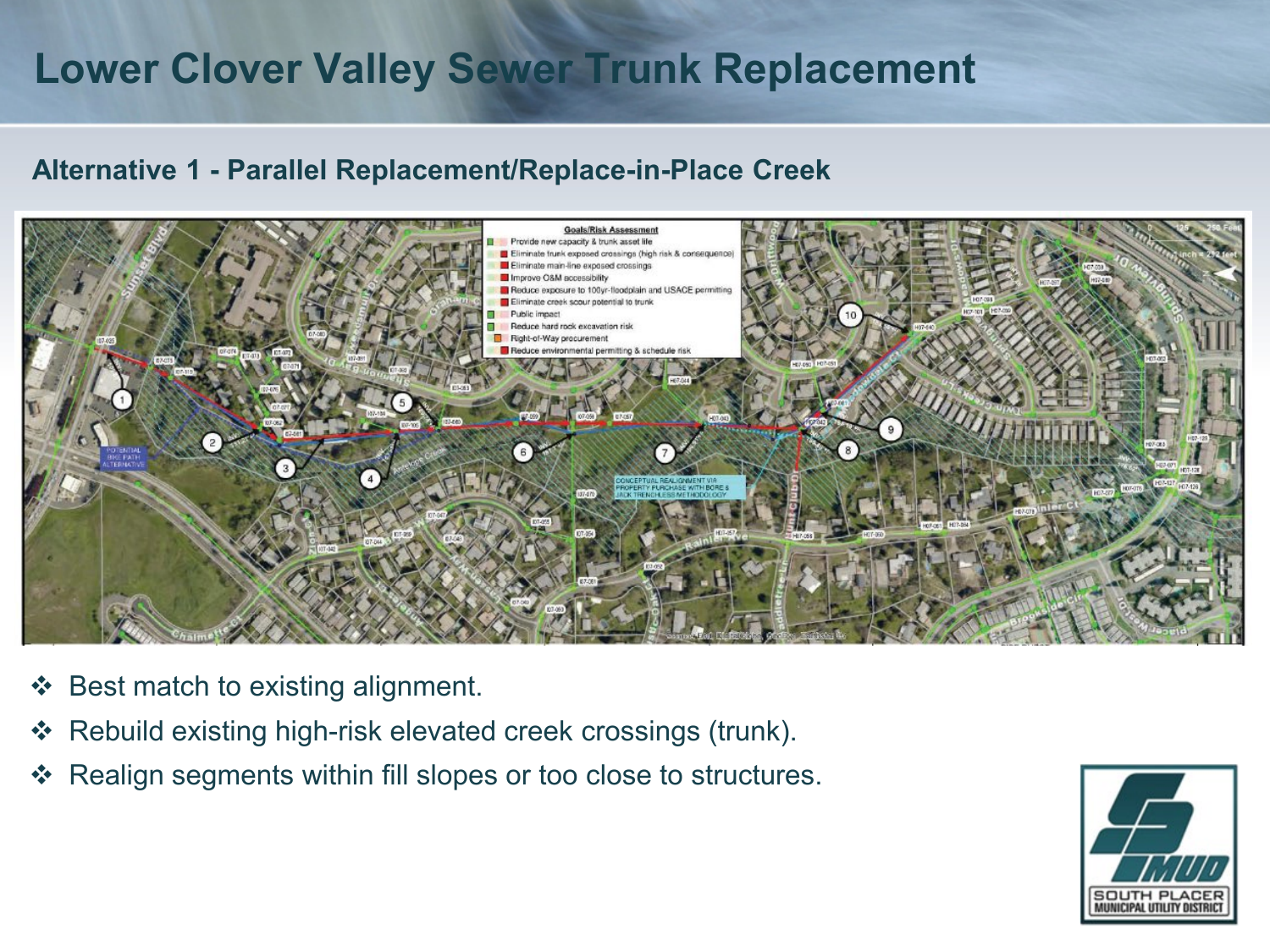#### **Alternative 1 - Parallel Replacement/Replace-in-Place Creek**



- $\div$  Best match to existing alignment.
- Rebuild existing high-risk elevated creek crossings (trunk).
- Realign segments within fill slopes or too close to structures.

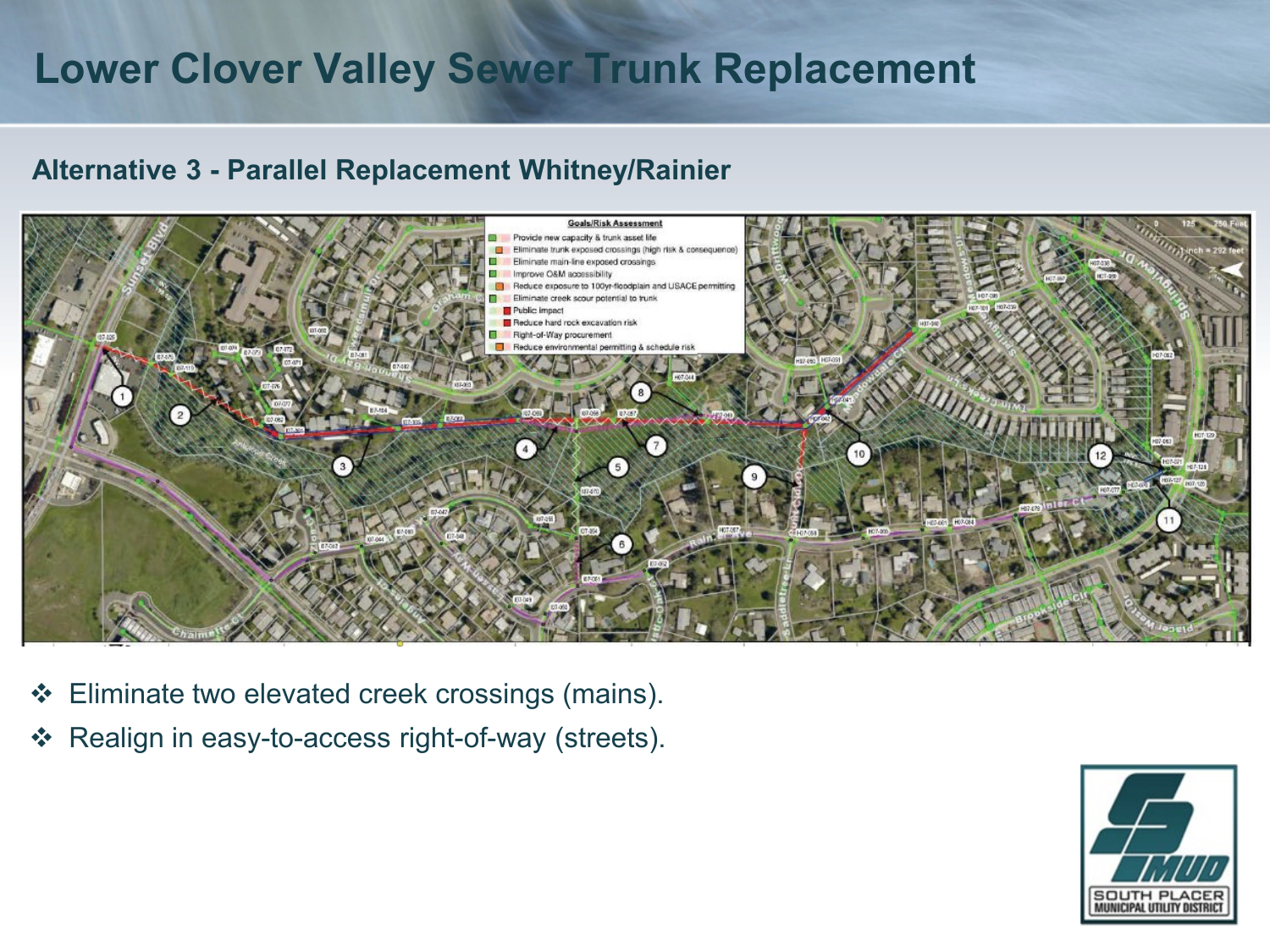### **Alternative 3 - Parallel Replacement Whitney/Rainier**



- Eliminate two elevated creek crossings (mains).
- Realign in easy-to-access right-of-way (streets).

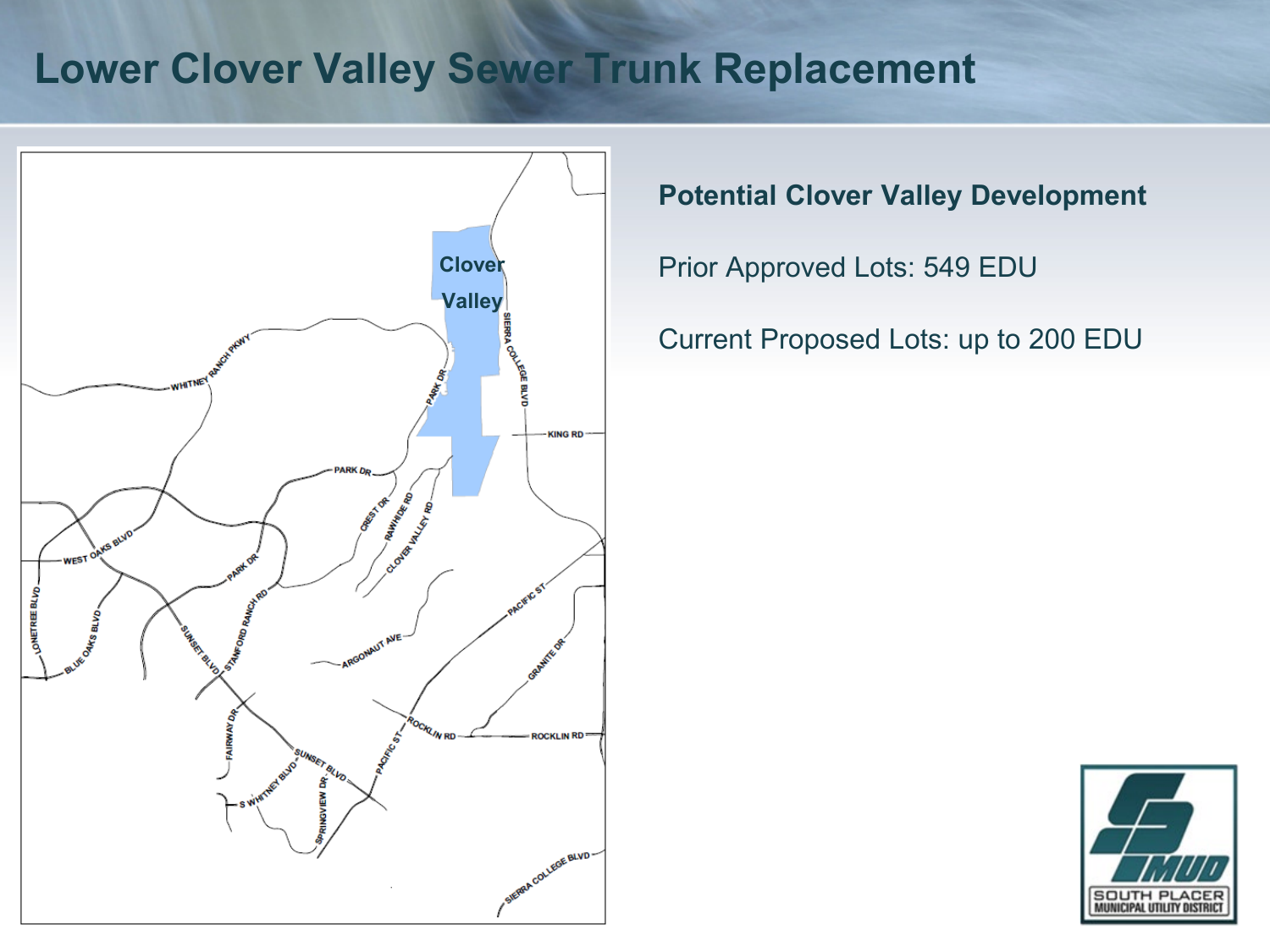

**Potential Clover Valley Development**

Prior Approved Lots: 549 EDU

Current Proposed Lots: up to 200 EDU